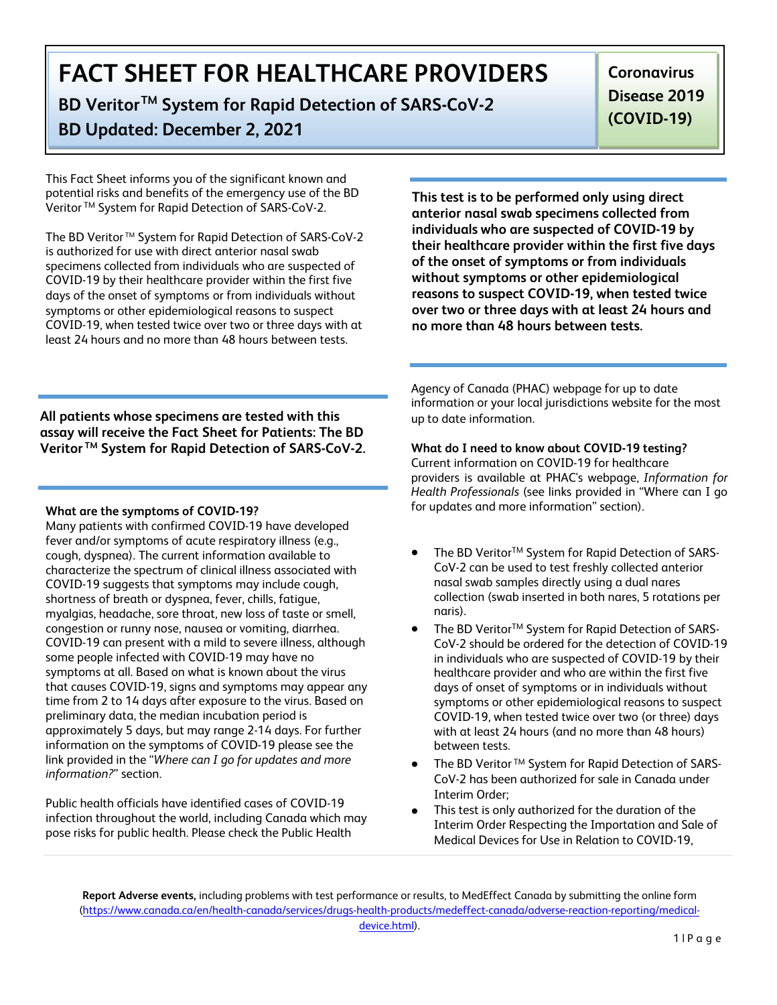**BD VeritorTM System for Rapid Detection of SARS-CoV-2**

### **BD Updated: December 2, 2021**

**Coronavirus Disease 2019 (COVID-19)** 

This Fact Sheet informs you of the significant known and potential risks and benefits of the emergency use of the BD Veritor TM System for Rapid Detection of SARS-CoV-2.

The BD Veritor<sup>™</sup> System for Rapid Detection of SARS-CoV-2 is authorized for use with direct anterior nasal swab specimens collected from individuals who are suspected of COVID-19 by their healthcare provider within the first five days of the onset of symptoms or from individuals without symptoms or other epidemiological reasons to suspect COVID-19, when tested twice over two or three days with at least 24 hours and no more than 48 hours between tests.

**This test is to be performed only using direct anterior nasal swab specimens collected from individuals who are suspected of COVID-19 by their healthcare provider within the first five days of the onset of symptoms or from individuals without symptoms or other epidemiological reasons to suspect COVID-19, when tested twice over two or three days with at least 24 hours and no more than 48 hours between tests.** 

**All patients whose specimens are tested with this assay will receive the Fact Sheet for Patients: The BD Veritor TM System for Rapid Detection of SARS-CoV-2.** 

#### **What are the symptoms of COVID-19?**

Many patients with confirmed COVID-19 have developed fever and/or symptoms of acute respiratory illness (e.g., cough, dyspnea). The current information available to characterize the spectrum of clinical illness associated with COVID-19 suggests that symptoms may include cough, shortness of breath or dyspnea, fever, chills, fatigue, myalgias, headache, sore throat, new loss of taste or smell, congestion or runny nose, nausea or vomiting, diarrhea. COVID-19 can present with a mild to severe illness, although some people infected with COVID-19 may have no symptoms at all. Based on what is known about the virus that causes COVID-19, signs and symptoms may appear any time from 2 to 14 days after exposure to the virus. Based on preliminary data, the median incubation period is approximately 5 days, but may range 2-14 days. For further information on the symptoms of COVID-19 please see the link provided in the "*Where can I go for updates and more information?*" section.

Public health officials have identified cases of COVID-19 infection throughout the world, including Canada which may pose risks for public health. Please check the Public Health

Agency of Canada (PHAC) webpage for up to date information or your local jurisdictions website for the most up to date information.

#### **What do I need to know about COVID-19 testing?**

Current information on COVID-19 for healthcare providers is available at PHAC's webpage, *Information for Health Professionals* (see links provided in "Where can I go for updates and more information" section).

- The BD Veritor<sup>TM</sup> System for Rapid Detection of SARS-CoV-2 can be used to test freshly collected anterior nasal swab samples directly using a dual nares collection (swab inserted in both nares, 5 rotations per naris).
- The BD Veritor<sup>TM</sup> System for Rapid Detection of SARS-CoV-2 should be ordered for the detection of COVID-19 in individuals who are suspected of COVID-19 by their healthcare provider and who are within the first five days of onset of symptoms or in individuals without symptoms or other epidemiological reasons to suspect COVID-19, when tested twice over two (or three) days with at least 24 hours (and no more than 48 hours) between tests.
- The BD Veritor TM System for Rapid Detection of SARS-CoV-2 has been authorized for sale in Canada under Interim Order;
- This test is only authorized for the duration of the Interim Order Respecting the Importation and Sale of Medical Devices for Use in Relation to COVID-19,

**Report Adverse events,** including problems with test performance or results, to MedEffect Canada by submitting the online form (ht[tps://www.canada.ca/en/health-canada/services/drugs-health-products/medeffect-canada/](https://www.accessdata.fda.gov/scripts/medwatch/index.cfm?action=reporting.home)adverse-reaction-reporting/medicaldevice.html).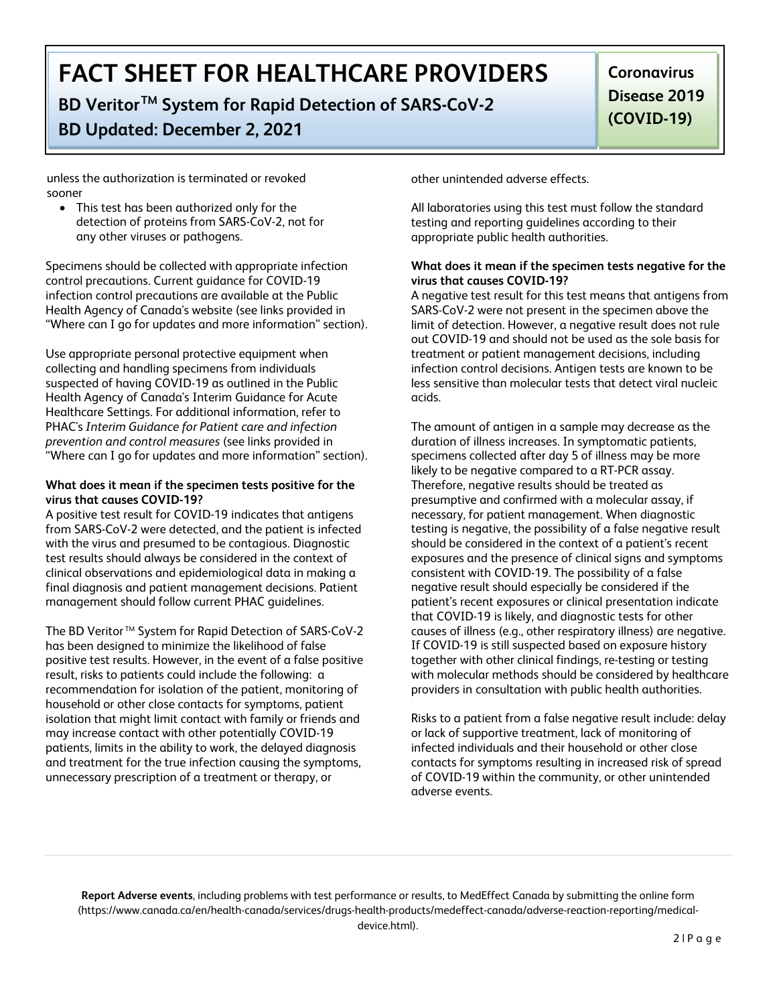**BD VeritorTM System for Rapid Detection of SARS-CoV-2**

### **BD Updated: December 2, 2021**

**Coronavirus Disease 2019 (COVID-19)** 

unless the authorization is terminated or revoked sooner

• This test has been authorized only for the detection of proteins from SARS-CoV-2, not for any other viruses or pathogens.

Specimens should be collected with appropriate infection control precautions. Current guidance for COVID-19 infection control precautions are available at the Public Health Agency of Canada's website (see links provided in "Where can I go for updates and more information" section).

Use appropriate personal protective equipment when collecting and handling specimens from individuals suspected of having COVID-19 as outlined in the Public Health Agency of Canada's Interim Guidance for Acute Healthcare Settings. For additional information, refer to PHAC's *Interim Guidance for Patient care and infection prevention and control measures* (see links provided in "Where can I go for updates and more information" section).

#### **What does it mean if the specimen tests positive for the virus that causes COVID-19?**

A positive test result for COVID-19 indicates that antigens from SARS-CoV-2 were detected, and the patient is infected with the virus and presumed to be contagious. Diagnostic test results should always be considered in the context of clinical observations and epidemiological data in making a final diagnosis and patient management decisions. Patient management should follow current PHAC guidelines.

The BD Veritor<sup>™</sup> System for Rapid Detection of SARS-CoV-2 has been designed to minimize the likelihood of false positive test results. However, in the event of a false positive result, risks to patients could include the following: a recommendation for isolation of the patient, monitoring of household or other close contacts for symptoms, patient isolation that might limit contact with family or friends and may increase contact with other potentially COVID-19 patients, limits in the ability to work, the delayed diagnosis and treatment for the true infection causing the symptoms, unnecessary prescription of a treatment or therapy, or

other unintended adverse effects.

All laboratories using this test must follow the standard testing and reporting guidelines according to their appropriate public health authorities.

#### **What does it mean if the specimen tests negative for the virus that causes COVID-19?**

A negative test result for this test means that antigens from SARS-CoV-2 were not present in the specimen above the limit of detection. However, a negative result does not rule out COVID-19 and should not be used as the sole basis for treatment or patient management decisions, including infection control decisions. Antigen tests are known to be less sensitive than molecular tests that detect viral nucleic acids.

The amount of antigen in a sample may decrease as the duration of illness increases. In symptomatic patients, specimens collected after day 5 of illness may be more likely to be negative compared to a RT-PCR assay. Therefore, negative results should be treated as presumptive and confirmed with a molecular assay, if necessary, for patient management. When diagnostic testing is negative, the possibility of a false negative result should be considered in the context of a patient's recent exposures and the presence of clinical signs and symptoms consistent with COVID-19. The possibility of a false negative result should especially be considered if the patient's recent exposures or clinical presentation indicate that COVID-19 is likely, and diagnostic tests for other causes of illness (e.g., other respiratory illness) are negative. If COVID-19 is still suspected based on exposure history together with other clinical findings, re-testing or testing with molecular methods should be considered by healthcare providers in consultation with public health authorities.

Risks to a patient from a false negative result include: delay or lack of supportive treatment, lack of monitoring of infected individuals and their household or other close contacts for symptoms resulting in increased risk of spread of COVID-19 within the community, or other unintended adverse events.

**Report Adverse events**, including problems with test performance or results, to MedEffect Canada by submitting the online form (htt[ps://www.canada.ca/en/health-canada/services/drugs-health-products/medeffect-canada/](https://www.accessdata.fda.gov/scripts/medwatch/index.cfm?action=reporting.home)adverse-reaction-reporting/medicaldevice.html).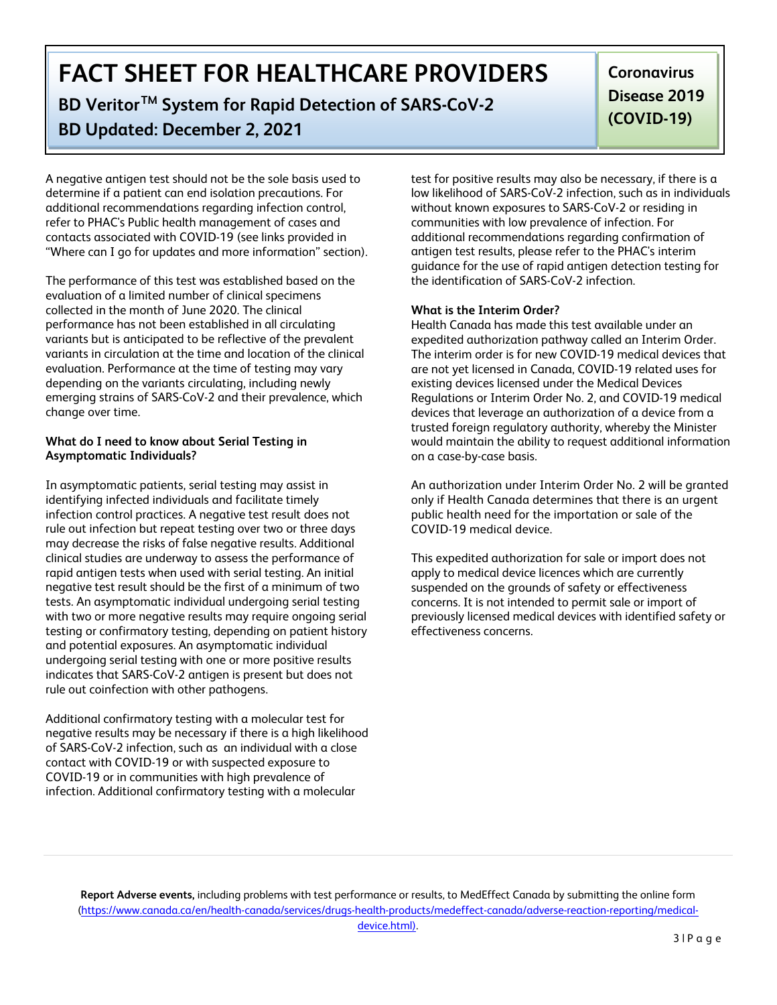**BD VeritorTM System for Rapid Detection of SARS-CoV-2**

### **BD Updated: December 2, 2021**

**Coronavirus Disease 2019 (COVID-19)** 

A negative antigen test should not be the sole basis used to determine if a patient can end isolation precautions. For additional recommendations regarding infection control, refer to PHAC's Public health management of cases and contacts associated with COVID-19 (see links provided in "Where can I go for updates and more information" section).

The performance of this test was established based on the evaluation of a limited number of clinical specimens collected in the month of June 2020. The clinical performance has not been established in all circulating variants but is anticipated to be reflective of the prevalent variants in circulation at the time and location of the clinical evaluation. Performance at the time of testing may vary depending on the variants circulating, including newly emerging strains of SARS-CoV-2 and their prevalence, which change over time.

#### **What do I need to know about Serial Testing in Asymptomatic Individuals?**

In asymptomatic patients, serial testing may assist in identifying infected individuals and facilitate timely infection control practices. A negative test result does not rule out infection but repeat testing over two or three days may decrease the risks of false negative results. Additional clinical studies are underway to assess the performance of rapid antigen tests when used with serial testing. An initial negative test result should be the first of a minimum of two tests. An asymptomatic individual undergoing serial testing with two or more negative results may require ongoing serial testing or confirmatory testing, depending on patient history and potential exposures. An asymptomatic individual undergoing serial testing with one or more positive results indicates that SARS-CoV-2 antigen is present but does not rule out coinfection with other pathogens.

Additional confirmatory testing with a molecular test for negative results may be necessary if there is a high likelihood of SARS-CoV-2 infection, such as an individual with a close contact with COVID-19 or with suspected exposure to COVID-19 or in communities with high prevalence of infection. Additional confirmatory testing with a molecular

test for positive results may also be necessary, if there is a low likelihood of SARS-CoV-2 infection, such as in individuals without known exposures to SARS-CoV-2 or residing in communities with low prevalence of infection. For additional recommendations regarding confirmation of antigen test results, please refer to the PHAC's interim guidance for the use of rapid antigen detection testing for the identification of SARS-CoV-2 infection.

#### **What is the Interim Order?**

Health Canada has made this test available under an expedited authorization pathway called an Interim Order. The interim order is for new COVID-19 medical devices that are not yet licensed in Canada, COVID-19 related uses for existing devices licensed under the Medical Devices Regulations or Interim Order No. 2, and COVID-19 medical devices that leverage an authorization of a device from a trusted foreign regulatory authority, whereby the Minister would maintain the ability to request additional information on a case-by-case basis.

An authorization under Interim Order No. 2 will be granted only if Health Canada determines that there is an urgent public health need for the importation or sale of the COVID-19 medical device.

This expedited authorization for sale or import does not apply to medical device licences which are currently suspended on the grounds of safety or effectiveness concerns. It is not intended to permit sale or import of previously licensed medical devices with identified safety or effectiveness concerns.

**Report Adverse events,** including problems with test performance or results, to MedEffect Canada by submitting the online form (htt[ps://www.canada.ca/en/health-canada/services/drugs-health-products/medeffect-canada/](https://www.accessdata.fda.gov/scripts/medwatch/index.cfm?action=reporting.home)adverse-reaction-reporting/medicaldevice.html).